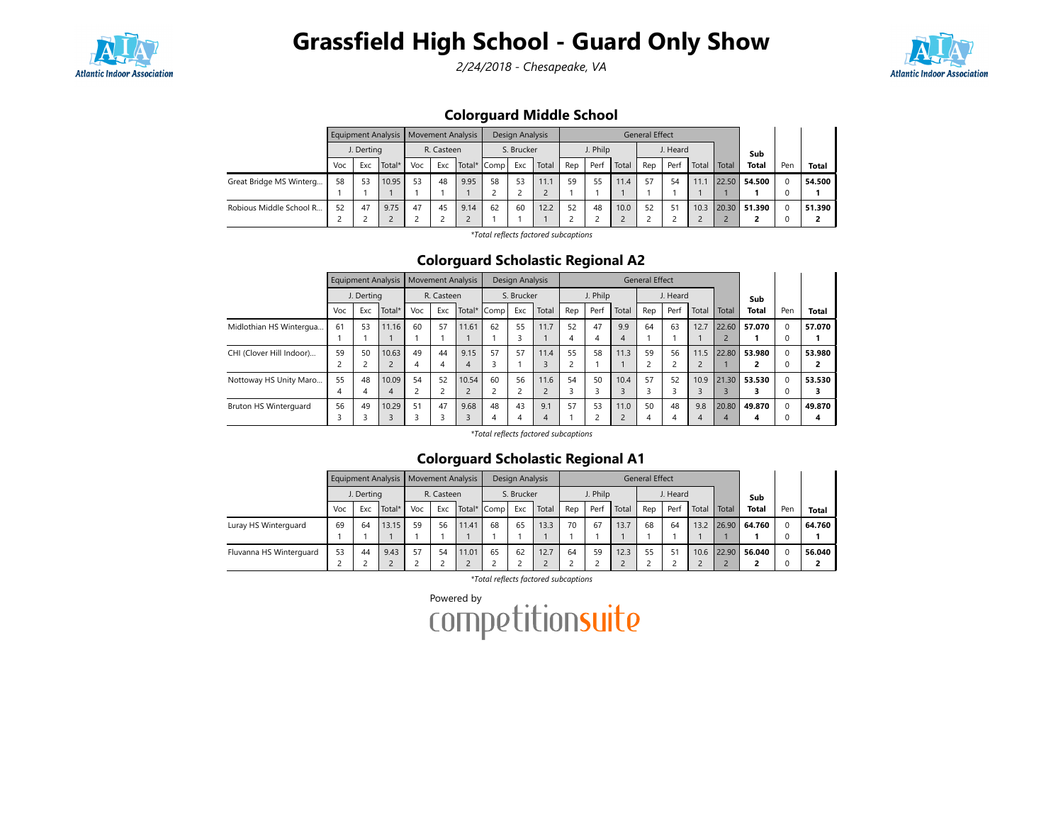

## Grassfield High School - Guard Only Show

2/24/2018 - Chesapeake, VA



### Colorguard Middle School

|                         | Equipment Analysis   Movement Analysis<br>J. Derting |     |        |     |            |      | Design Analysis |     |       | <b>General Effect</b> |      |       |          |      |       |       |              |     |              |
|-------------------------|------------------------------------------------------|-----|--------|-----|------------|------|-----------------|-----|-------|-----------------------|------|-------|----------|------|-------|-------|--------------|-----|--------------|
|                         |                                                      |     |        |     | R. Casteen |      | S. Brucker      |     |       | J. Philp              |      |       | J. Heard |      |       |       | Sub          |     |              |
|                         | Voc                                                  | Exc | Total* | Voc | Exc        |      | Total* Comp     | Exc | Total | Rep                   | Perf | Total | Rep      | Perf | Total | Total | <b>Total</b> | Pen | <b>Total</b> |
| Great Bridge MS Winterg | 58                                                   | 53  | 10.95  | 53  | 48         | 9.95 | 58              | 53  | l 1.1 | 59                    | 55   | 11.4  | 57       | 54   | 11.1  | 22.50 | 54.500       |     | 54.500       |
|                         |                                                      |     |        |     |            |      |                 |     |       |                       |      |       |          |      |       |       |              |     |              |
| Robious Middle School R | 52                                                   | 47  | 9.75   | 47  | 45         | 9.14 | 62              | 60  | 12.2  | 52                    | 48   | 10.0  | 52       | 51   | 10.3  | 20.30 | 51.390       |     | 51.390       |
|                         |                                                      |     |        |     |            |      |                 |     |       |                       |      |       |          |      |       |       |              |     |              |

\*Total reflects factored subcaptions

### Colorguard Scholastic Regional A2

|                          |     | Equipment Analysis |                |            | <b>Movement Analysis</b> |       |             | Design Analysis |       |          | <b>General Effect</b> |       |     |          |                |       |              |     |              |
|--------------------------|-----|--------------------|----------------|------------|--------------------------|-------|-------------|-----------------|-------|----------|-----------------------|-------|-----|----------|----------------|-------|--------------|-----|--------------|
|                          |     | J. Dertina         |                | R. Casteen |                          |       | S. Brucker  |                 |       | J. Philp |                       |       |     | J. Heard |                |       | Sub          |     |              |
|                          | Voc | Exc                | Total*         | Voc        | Exc                      |       | Total* Comp | Exc             | Total | Rep      | Perf                  | Total | Rep | Perf     | Total          | Total | <b>Total</b> | Pen | <b>Total</b> |
| Midlothian HS Wintergua  | 61  | 53                 | 11.16          | 60         | 57                       | 11.61 | 62          | 55              | 11.7  | 52       | 47                    | 9.9   | 64  | 63       | 12.7           | 22.60 | 57.070       |     | 57.070       |
|                          |     |                    |                |            |                          |       |             |                 |       | 4        | 4                     | 4     |     |          |                |       |              |     |              |
| CHI (Clover Hill Indoor) | 59  | 50                 | 10.63          | 49         | 44                       | 9.15  | 57          | 57              | 11.4  | 55       | 58                    | 11.3  | 59  | 56       | 11.5           | 22.80 | 53.980       |     | 53.980       |
|                          |     |                    | $\overline{2}$ |            | 4                        | 4     |             |                 |       |          |                       |       |     |          | $\overline{2}$ |       |              |     |              |
| Nottoway HS Unity Maro   | 55  | 48                 | 10.09          | 54         | 52                       | 10.54 | 60          | 56              | 11.6  | 54       | 50                    | 10.4  | 57  | 52       | 10.9           | 21.30 | 53.530       |     | 53.530       |
|                          |     | 4                  | $\overline{4}$ |            | ╭                        |       |             | ے               |       |          |                       |       |     |          | $\overline{3}$ |       |              |     |              |
| Bruton HS Winterquard    | 56  | 49                 | 10.29          | 51         | 47                       | 9.68  | 48          | 43              | 9.1   | 57       | 53                    | 11.0  | 50  | 48       | 9.8            | 20.80 | 49.870       |     | 49.870       |
|                          |     |                    | 3              |            |                          |       |             | 4               | 4     |          | ∍                     |       | 4   | 4        | $\overline{4}$ | 4     | 4            |     | 4            |

\*Total reflects factored subcaptions

#### Colorguard Scholastic Regional A1

|                         |     |            |        | Equipment Analysis   Movement Analysis |            |       | Design Analysis |            |       | <b>General Effect</b> |          |       |     |          |       |       |              |          |              |
|-------------------------|-----|------------|--------|----------------------------------------|------------|-------|-----------------|------------|-------|-----------------------|----------|-------|-----|----------|-------|-------|--------------|----------|--------------|
|                         |     | J. Derting |        |                                        | R. Casteen |       |                 | S. Brucker |       |                       | J. Philp |       |     | J. Heard |       |       | Sub          |          |              |
|                         | Voc | Exc        | Total* | Voc                                    | Exc        |       | Total* Comp     | Exc        | Total | Rep                   | Perf     | Total | Rep | Per      | Total | Total | <b>Total</b> | Pen      | <b>Total</b> |
| Luray HS Winterguard    | 69  | 64         | 13.15  | 59                                     | 56         | 11.41 | 68              | 65         | 13.3  | 70                    | 67       | 13.7  | 68  | 64       | 13.2  | 26.90 | 64.760       | $\Omega$ | 64.760       |
|                         |     |            |        |                                        |            |       |                 |            |       |                       |          |       |     |          |       |       |              |          |              |
| Fluvanna HS Winterguard | 53  | 44         | 9.43   | 57                                     | 54         | 11.01 | 65              | 62         | 12.7  | 64                    | 59       | 12.3  | 55  | 51       | 10.6  | 22.90 | 56.040       | $\Omega$ | 56.040       |
|                         |     |            |        |                                        |            |       |                 |            |       |                       |          |       |     |          |       |       |              |          |              |

\*Total reflects factored subcaptions

Powered by<br>COMPetitionsuite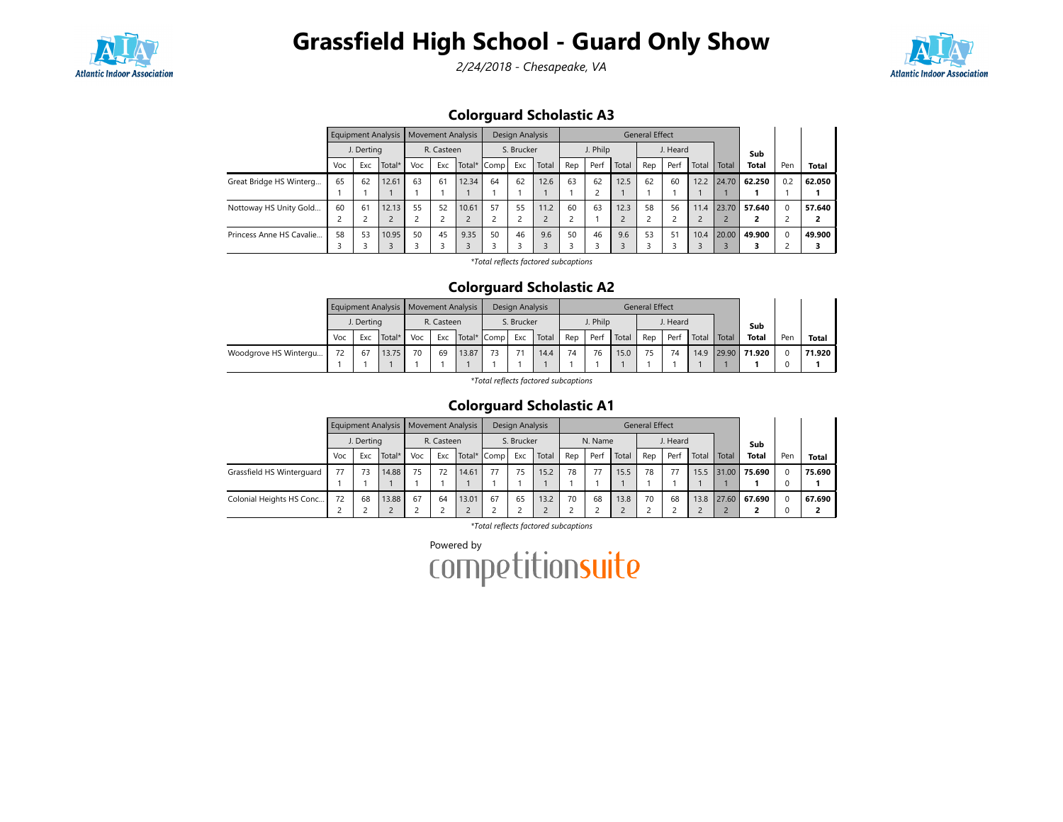

## Grassfield High School - Guard Only Show

2/24/2018 - Chesapeake, VA



### Colorguard Scholastic A3

|                          |        | Equipment Analysis |            |            | <b>Movement Analysis</b> |        |            | Design Analysis |       |          | General Effect |       |     |          |       |       |              |     |              |
|--------------------------|--------|--------------------|------------|------------|--------------------------|--------|------------|-----------------|-------|----------|----------------|-------|-----|----------|-------|-------|--------------|-----|--------------|
|                          |        | J. Derting         |            | R. Casteen |                          |        | S. Brucker |                 |       | J. Philp |                |       |     | J. Heard |       |       | Sub          |     |              |
|                          | Voc    | Exc                | Total*     | Voc        | Exc                      | Total* | Comp       | Exc             | Total | Rep      | Perf           | Total | Rep | Perf     | Total | Total | <b>Total</b> | Pen | <b>Total</b> |
| Great Bridge HS Winterg  | 65     | 62                 | 12.61      | 63         | 61                       | 12.34  | 64         | 62              | 12.6  | 63       | 62             | 12.5  | 62  | 60       | 12.2  | 24.70 | 62.250       | 0.2 | 62.050       |
|                          |        |                    |            |            |                          |        |            |                 |       |          |                |       |     |          |       |       |              |     |              |
| Nottoway HS Unity Gold   | 60     | 61                 | 12.13      | 55         | 52                       | 10.61  | 57         | 55              | 11.2  | 60       | 63             | 12.3  | 58  | 56       | 11.4  | 23.70 | 57.640       |     | 57.640       |
|                          | $\sim$ |                    | $\epsilon$ |            |                          |        |            |                 |       | 2        |                |       |     |          |       |       |              |     |              |
| Princess Anne HS Cavalie | 58     | 53                 | 10.95      | 50         | 45                       | 9.35   | 50         | 46              | 9.6   | 50       | 46             | 9.6   | 53  | 51       | 10.4  | 20.00 | 49.900       |     | 49.900       |
|                          |        |                    |            |            |                          |        |            |                 |       | 3        |                |       |     |          |       |       |              |     |              |

\*Total reflects factored subcaptions

### Colorguard Scholastic A2

|                       | Equipment Analysis   Movement Analysis |            |        |     |            |             | Design Analysis |            |       | General Effect |          |       |     |          |               |  |                |     |              |
|-----------------------|----------------------------------------|------------|--------|-----|------------|-------------|-----------------|------------|-------|----------------|----------|-------|-----|----------|---------------|--|----------------|-----|--------------|
|                       |                                        | J. Dertina |        |     | R. Casteen |             |                 | S. Brucker |       |                | J. Philp |       |     | J. Heard |               |  | Sub            |     |              |
|                       | Voc                                    | Exc        | Total* | Voc | Exc        | Total* Comp |                 | Exc        | Total | Rep            | Perf     | Total | Rep | Perf     | Total   Total |  | Total          | Pen | <b>Total</b> |
| Woodgrove HS Wintergu | 72                                     | 67         | 13.75  | 70  | 69         | 13.87       | 73              | 71         | 14.4  | 74             | 76       | 15.0  | 75  | 74       | 14.9          |  | $29.90$ 71.920 |     | 71.920       |
|                       |                                        |            |        |     |            |             |                 |            |       |                |          |       |     |          |               |  |                |     |              |

\*Total reflects factored subcaptions

### Colorguard Scholastic A1

|                           | J. Derting |     |        | Equipment Analysis   Movement Analysis |            |             |            | Design Analysis |       |         | <b>General Effect</b> |       |          |      |       |       |              |     |              |
|---------------------------|------------|-----|--------|----------------------------------------|------------|-------------|------------|-----------------|-------|---------|-----------------------|-------|----------|------|-------|-------|--------------|-----|--------------|
|                           |            |     |        |                                        | R. Casteen |             | S. Brucker |                 |       | N. Name |                       |       | J. Heard |      |       |       | Sub          |     |              |
|                           | Voc        | Exc | Total* | Voc                                    | Exc        | Total* Comp |            | Exc             | Total | Rep     | Perf                  | Total | Rep      | Perf | Total | Total | <b>Total</b> | Pen | <b>Total</b> |
| Grassfield HS Winterguard | 77         | 73  | 14.88  | 75                                     | 72         | 14.61       | 77         | 75              | 15.2  | 78      |                       | 15.5  | 78       | 77   | 15.5  | 31.00 | 75.690       |     | 75.690       |
|                           |            |     |        |                                        |            |             |            |                 |       |         |                       |       |          |      |       |       |              |     |              |
| Colonial Heights HS Conc  | 72         | 68  | 13.88  | 67                                     | 64         | 13.01       | 67         | 65              | 13.2  | 70      | 68                    | 13.8  | 70       | 68   | 13.8  |       | 27.60 67.690 |     | 67.690       |
|                           |            |     |        |                                        |            |             |            |                 |       |         |                       |       |          |      |       |       |              |     |              |

\*Total reflects factored subcaptions

Powered by<br>COMPETitionsuite